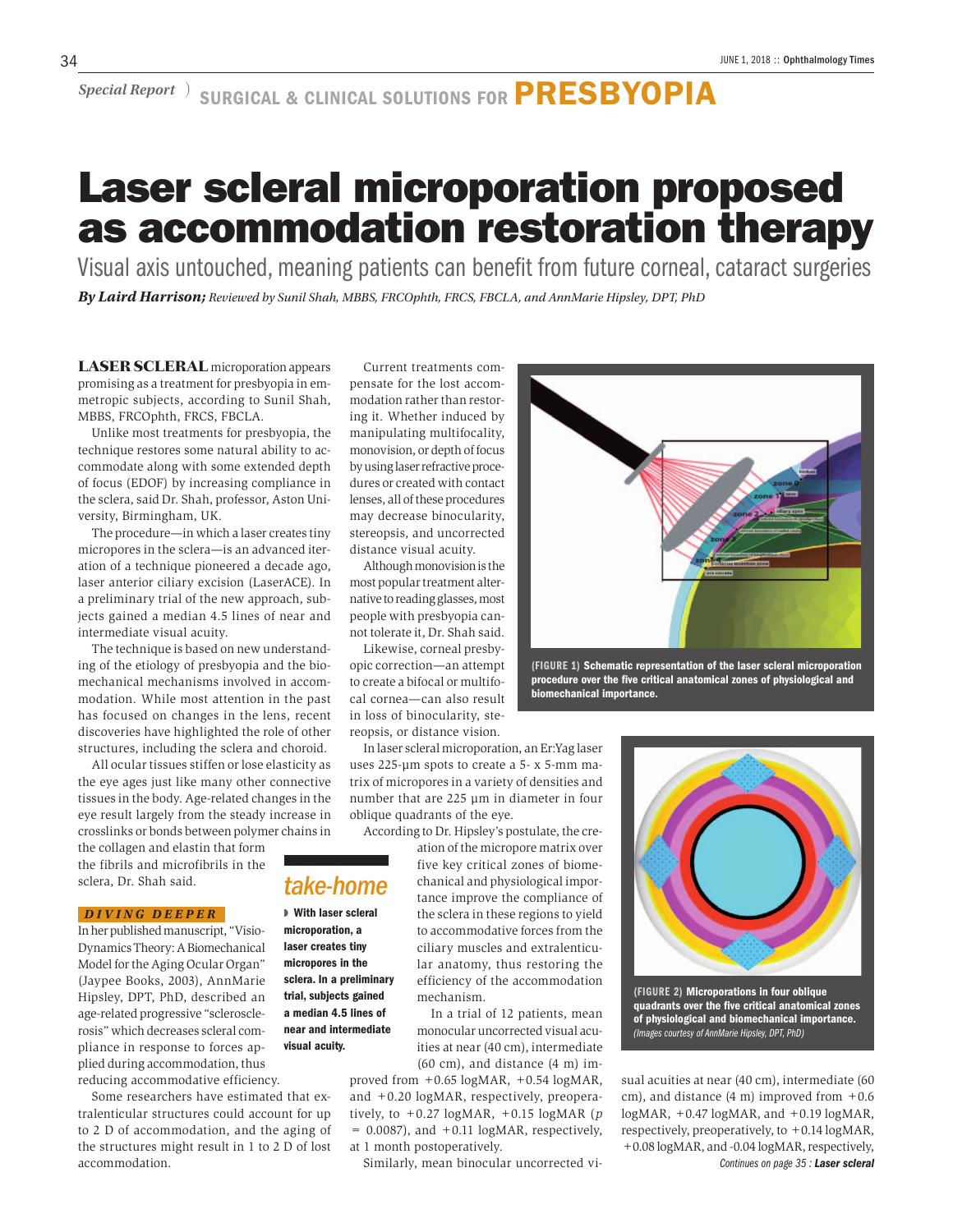*Special Report* ) SURGICAL & CLINICAL SOLUTIONS FOR **PRESBYOPIA** 

# Laser scleral microporation proposed as accommodation restoration therapy

Visual axis untouched, meaning patients can benefit from future corneal, cataract surgeries *By Laird Harrison; Reviewed by Sunil Shah, MBBS, FRCOphth, FRCS, FBCLA, and AnnMarie Hipsley, DPT, PhD*

LASER SCLERAL microporation appears promising as a treatment for presbyopia in emmetropic subjects, according to Sunil Shah, MBBS, FRCOphth, FRCS, FBCLA.

Unlike most treatments for presbyopia, the technique restores some natural ability to accommodate along with some extended depth of focus (EDOF) by increasing compliance in the sclera, said Dr. Shah, professor, Aston University, Birmingham, UK.

The procedure—in which a laser creates tiny micropores in the sclera—is an advanced iteration of a technique pioneered a decade ago, laser anterior ciliary excision (LaserACE). In a preliminary trial of the new approach, subjects gained a median 4.5 lines of near and intermediate visual acuity.

The technique is based on new understanding of the etiology of presbyopia and the biomechanical mechanisms involved in accommodation. While most attention in the past has focused on changes in the lens, recent discoveries have highlighted the role of other structures, including the sclera and choroid.

All ocular tissues stiffen or lose elasticity as the eye ages just like many other connective tissues in the body. Age-related changes in the eye result largely from the steady increase in crosslinks or bonds between polymer chains in

the collagen and elastin that form the fibrils and microfibrils in the sclera, Dr. Shah said.

### *DIVING DEEPER*

In her published manuscript, "Visio-Dynamics Theory: A Biomechanical Model for the Aging Ocular Organ" (Jaypee Books, 2003), AnnMarie Hipsley, DPT, PhD, described an age-related progressive "sclerosclerosis" which decreases scleral compliance in response to forces applied during accommodation, thus reducing accommodative efficiency.

Some researchers have estimated that extralenticular structures could account for up to 2 D of accommodation, and the aging of the structures might result in 1 to 2 D of lost accommodation.

Current treatments compensate for the lost accommodation rather than restoring it. Whether induced by manipulating multifocality, monovision, or depth of focus by using laser refractive procedures or created with contact lenses, all of these procedures may decrease binocularity, stereopsis, and uncorrected distance visual acuity.

Although monovision is the most popular treatment alternative to reading glasses, most people with presbyopia cannot tolerate it, Dr. Shah said.

Likewise, corneal presbyopic correction—an attempt to create a bifocal or multifocal cornea—can also result in loss of binocularity, stereopsis, or distance vision.

*take-home* ◗ With laser scleral microporation, a laser creates tiny micropores in the sclera. In a preliminary trial, subjects gained a median 4.5 lines of near and intermediate visual acuity.

In laser scleral microporation, an Er:Yag laser uses 225-µm spots to create a 5- x 5-mm matrix of micropores in a variety of densities and number that are 225 µm in diameter in four oblique quadrants of the eye.

According to Dr. Hipsley's postulate, the cre-

ation of the micropore matrix over five key critical zones of biomechanical and physiological importance improve the compliance of the sclera in these regions to yield to accommodative forces from the ciliary muscles and extralenticular anatomy, thus restoring the efficiency of the accommodation mechanism.

In a trial of 12 patients, mean monocular uncorrected visual acuities at near (40 cm), intermediate (60 cm), and distance (4 m) im-

proved from +0.65 logMAR, +0.54 logMAR, and +0.20 logMAR, respectively, preoperatively, to +0.27 logMAR, +0.15 logMAR (*p*  $= 0.0087$ ), and  $+0.11$  logMAR, respectively, at 1 month postoperatively.

Similarly, mean binocular uncorrected vi-



(FIGURE 1) Schematic representation of the laser scleral microporation procedure over the five critical anatomical zones of physiological and biomechanical importance.



quadrants over the five critical anatomical zones of physiological and biomechanical importance. *(Images courtesy of AnnMarie Hipsley, DPT, PhD)*

sual acuities at near (40 cm), intermediate (60 cm), and distance  $(4 \text{ m})$  improved from  $+0.6$ logMAR, +0.47 logMAR, and +0.19 logMAR, respectively, preoperatively, to +0.14 logMAR, +0.08 logMAR, and -0.04 logMAR, respectively, *Continues on page 35 : Laser scleral*